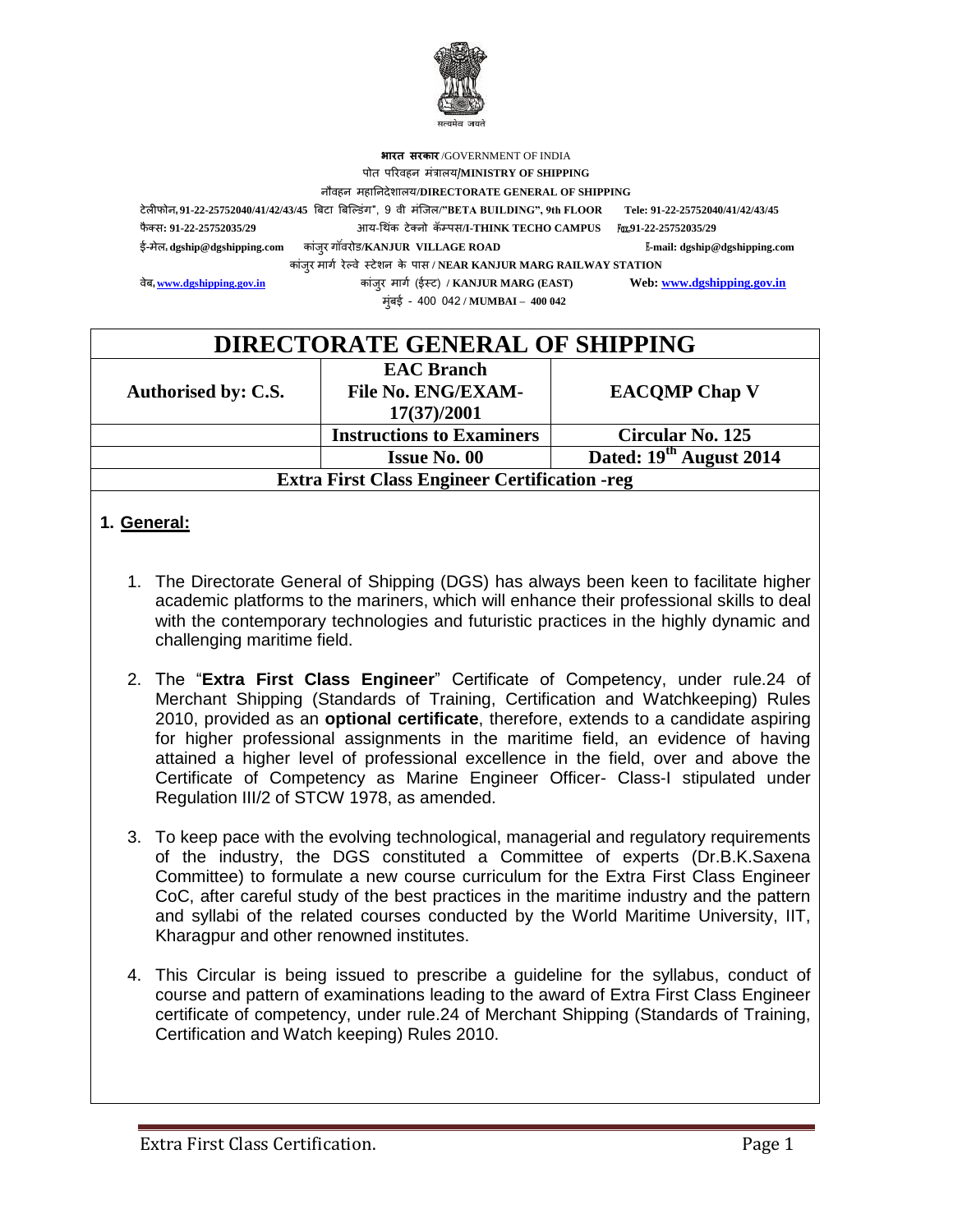

### **भारत सरकार** /GOVERNMENT OF INDIA पोत परिवहन मंत्रालय/**MINISTRY OF SHIPPING** नौवहन महाननदेशालय**/DIRECTORATE GENERAL OF SHIPPING** टेलीफोन: **91-22-25752040/41/42/43/45** बिटा बिल्डंग", 9 वी मंलिल**/"BETA BUILDING", 9th FLOOR Tele: 91-22-25752040/41/42/43/45** फै क् ो**: 91-22-25752035/29** आय-थ कं टेक्नो क्पपो**/I-THINK TECHO CAMPUS** Fax:**91-22-25752035/29** ई-मेल: **[dgship@dgshipping.com](mailto:dgship@dgshipping.com)** कांिुि ग वं िोड**/KANJUR VILLAGE ROAD** E**-mail[: dgship@dgshipping.com](mailto:dgship@dgshipping.com)** कांिुि मागग िे् वे ट टेशन के पाो **/ NEAR KANJUR MARG RAILWAY STATION** वे<mark>ब.<u>www.dgshipping.gov.in</u> कांजुर मार्ग (ईस्ट) / KANJUR MARG (EAST) Web: <u>www.dgshipping.gov.in</u></mark> मुंिई - 400 042 **/ MUMBAI – 400 042**

| <b>DIRECTORATE GENERAL OF SHIPPING</b>               |                                                               |                                     |  |  |
|------------------------------------------------------|---------------------------------------------------------------|-------------------------------------|--|--|
| Authorised by: C.S.                                  | <b>EAC Branch</b><br><b>File No. ENG/EXAM-</b><br>17(37)/2001 | <b>EACOMP Chap V</b>                |  |  |
|                                                      | <b>Instructions to Examiners</b>                              | Circular No. 125                    |  |  |
|                                                      | <b>Issue No. 00</b>                                           | Dated: 19 <sup>th</sup> August 2014 |  |  |
| <b>Extra First Class Engineer Certification -reg</b> |                                                               |                                     |  |  |

### **1. General:**

- 1. The Directorate General of Shipping (DGS) has always been keen to facilitate higher academic platforms to the mariners, which will enhance their professional skills to deal with the contemporary technologies and futuristic practices in the highly dynamic and challenging maritime field.
- 2. The "**Extra First Class Engineer**" Certificate of Competency, under rule.24 of Merchant Shipping (Standards of Training, Certification and Watchkeeping) Rules 2010, provided as an **optional certificate**, therefore, extends to a candidate aspiring for higher professional assignments in the maritime field, an evidence of having attained a higher level of professional excellence in the field, over and above the Certificate of Competency as Marine Engineer Officer- Class-I stipulated under Regulation III/2 of STCW 1978, as amended.
- 3. To keep pace with the evolving technological, managerial and regulatory requirements of the industry, the DGS constituted a Committee of experts (Dr.B.K.Saxena Committee) to formulate a new course curriculum for the Extra First Class Engineer CoC, after careful study of the best practices in the maritime industry and the pattern and syllabi of the related courses conducted by the World Maritime University, IIT, Kharagpur and other renowned institutes.
- 4. This Circular is being issued to prescribe a guideline for the syllabus, conduct of course and pattern of examinations leading to the award of Extra First Class Engineer certificate of competency, under rule.24 of Merchant Shipping (Standards of Training, Certification and Watch keeping) Rules 2010.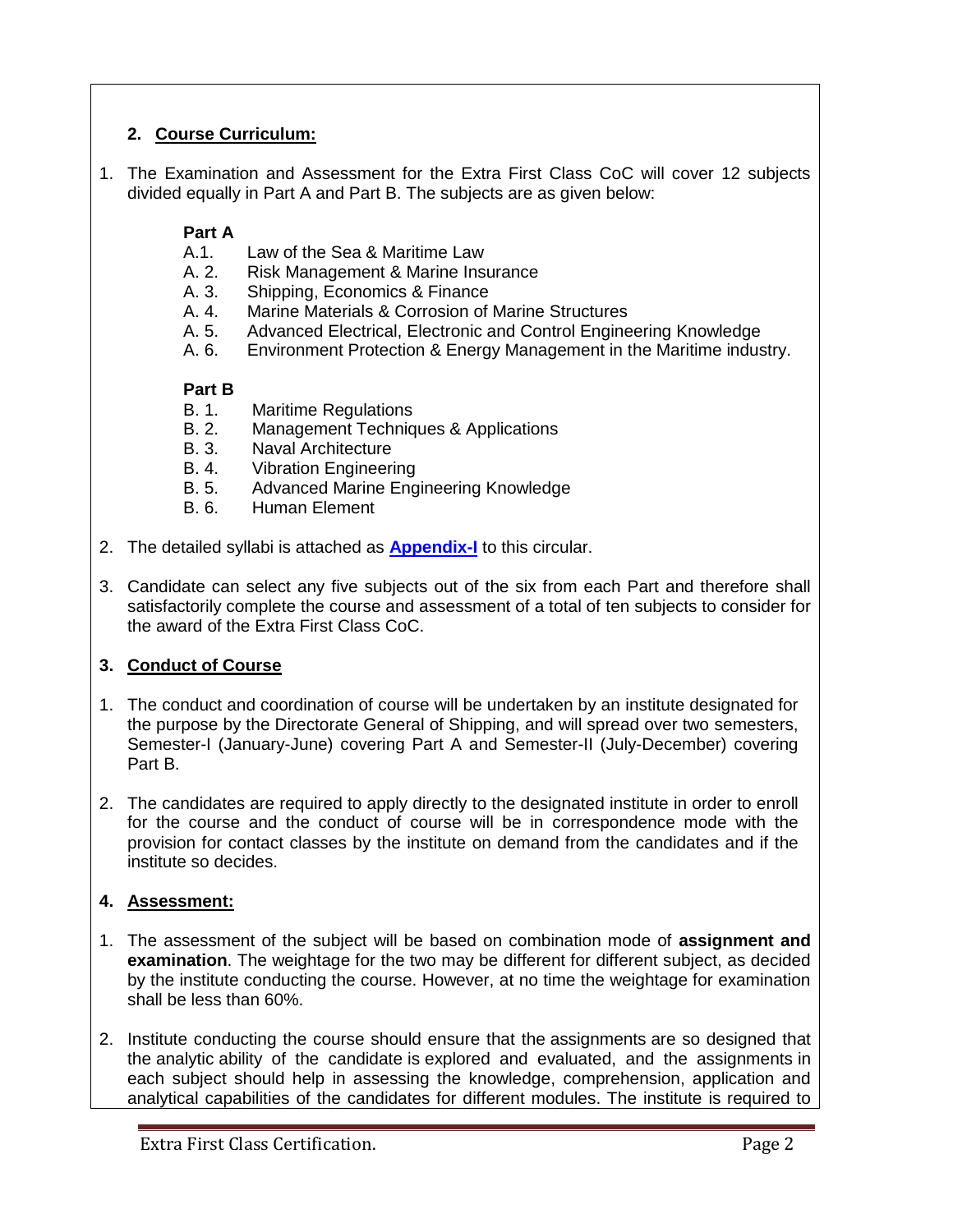## **2. Course Curriculum:**

1. The Examination and Assessment for the Extra First Class CoC will cover 12 subjects divided equally in Part A and Part B. The subjects are as given below:

## **Part A**

- A.1. Law of the Sea & Maritime Law
- A. 2. Risk Management & Marine Insurance
- A. 3. Shipping, Economics & Finance
- A. 4. Marine Materials & Corrosion of Marine Structures
- A. 5. Advanced Electrical, Electronic and Control Engineering Knowledge
- A. 6. Environment Protection & Energy Management in the Maritime industry.

## **Part B**

- B. 1. Maritime Regulations
- B. 2. Management Techniques & Applications
- B. 3. Naval Architecture
- B. 4. Vibration Engineering
- B. 5. Advanced Marine Engineering Knowledge
- B. 6. Human Element
- 2. The detailed syllabi is attached as **[Appendix-I](#page-4-0)** to this circular.
- 3. Candidate can select any five subjects out of the six from each Part and therefore shall satisfactorily complete the course and assessment of a total of ten subjects to consider for the award of the Extra First Class CoC.

## **3. Conduct of Course**

- 1. The conduct and coordination of course will be undertaken by an institute designated for the purpose by the Directorate General of Shipping, and will spread over two semesters, Semester-I (January-June) covering Part A and Semester-II (July-December) covering Part B.
- 2. The candidates are required to apply directly to the designated institute in order to enroll for the course and the conduct of course will be in correspondence mode with the provision for contact classes by the institute on demand from the candidates and if the institute so decides.

## **4. Assessment:**

- 1. The assessment of the subject will be based on combination mode of **assignment and examination**. The weightage for the two may be different for different subject, as decided by the institute conducting the course. However, at no time the weightage for examination shall be less than 60%.
- 2. Institute conducting the course should ensure that the assignments are so designed that the analytic ability of the candidate is explored and evaluated, and the assignments in each subject should help in assessing the knowledge, comprehension, application and analytical capabilities of the candidates for different modules. The institute is required to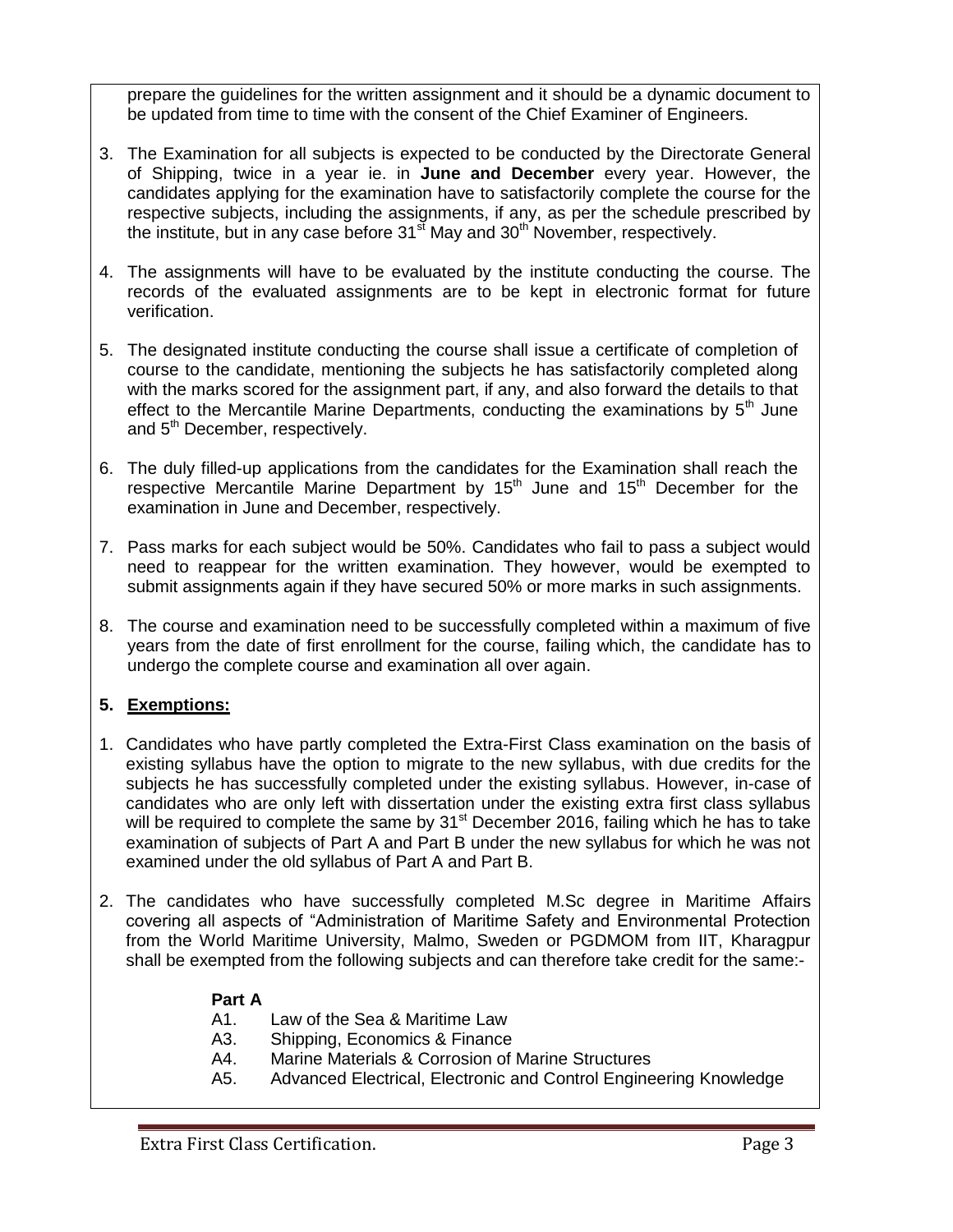prepare the guidelines for the written assignment and it should be a dynamic document to be updated from time to time with the consent of the Chief Examiner of Engineers.

- 3. The Examination for all subjects is expected to be conducted by the Directorate General of Shipping, twice in a year ie. in **June and December** every year. However, the candidates applying for the examination have to satisfactorily complete the course for the respective subjects, including the assignments, if any, as per the schedule prescribed by the institute, but in any case before  $31<sup>st</sup>$  May and  $30<sup>th</sup>$  November, respectively.
- 4. The assignments will have to be evaluated by the institute conducting the course. The records of the evaluated assignments are to be kept in electronic format for future verification.
- 5. The designated institute conducting the course shall issue a certificate of completion of course to the candidate, mentioning the subjects he has satisfactorily completed along with the marks scored for the assignment part, if any, and also forward the details to that effect to the Mercantile Marine Departments, conducting the examinations by  $5<sup>th</sup>$  June and 5<sup>th</sup> December, respectively.
- 6. The duly filled-up applications from the candidates for the Examination shall reach the respective Mercantile Marine Department by  $15<sup>th</sup>$  June and  $15<sup>th</sup>$  December for the examination in June and December, respectively.
- 7. Pass marks for each subject would be 50%. Candidates who fail to pass a subject would need to reappear for the written examination. They however, would be exempted to submit assignments again if they have secured 50% or more marks in such assignments.
- 8. The course and examination need to be successfully completed within a maximum of five years from the date of first enrollment for the course, failing which, the candidate has to undergo the complete course and examination all over again.

## **5. Exemptions:**

- 1. Candidates who have partly completed the Extra-First Class examination on the basis of existing syllabus have the option to migrate to the new syllabus, with due credits for the subjects he has successfully completed under the existing syllabus. However, in-case of candidates who are only left with dissertation under the existing extra first class syllabus will be required to complete the same by  $31<sup>st</sup>$  December 2016, failing which he has to take examination of subjects of Part A and Part B under the new syllabus for which he was not examined under the old syllabus of Part A and Part B.
- 2. The candidates who have successfully completed M.Sc degree in Maritime Affairs covering all aspects of "Administration of Maritime Safety and Environmental Protection from the World Maritime University, Malmo, Sweden or PGDMOM from IIT, Kharagpur shall be exempted from the following subjects and can therefore take credit for the same:-

## **Part A**

- A1. Law of the Sea & Maritime Law
- A3. Shipping, Economics & Finance
- A4. Marine Materials & Corrosion of Marine Structures
- A5. Advanced Electrical, Electronic and Control Engineering Knowledge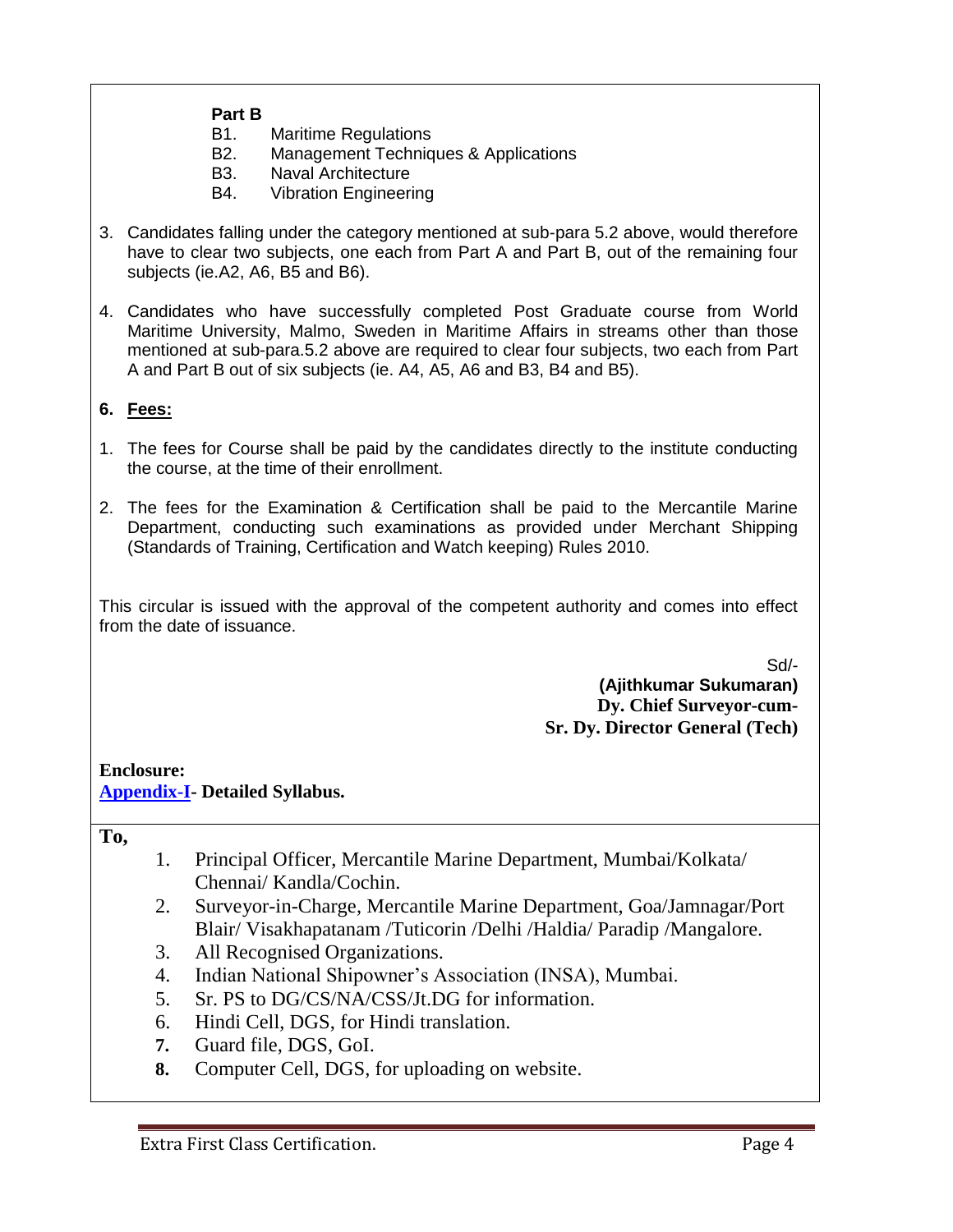#### **Part B**

- B1. Maritime Regulations
- B2. Management Techniques & Applications
- B3. Naval Architecture
- B4. Vibration Engineering
- 3. Candidates falling under the category mentioned at sub-para 5.2 above, would therefore have to clear two subjects, one each from Part A and Part B, out of the remaining four subjects (ie.A2, A6, B5 and B6).
- 4. Candidates who have successfully completed Post Graduate course from World Maritime University, Malmo, Sweden in Maritime Affairs in streams other than those mentioned at sub-para.5.2 above are required to clear four subjects, two each from Part A and Part B out of six subjects (ie. A4, A5, A6 and B3, B4 and B5).

### **6. Fees:**

- 1. The fees for Course shall be paid by the candidates directly to the institute conducting the course, at the time of their enrollment.
- 2. The fees for the Examination & Certification shall be paid to the Mercantile Marine Department, conducting such examinations as provided under Merchant Shipping (Standards of Training, Certification and Watch keeping) Rules 2010.

This circular is issued with the approval of the competent authority and comes into effect from the date of issuance.

Sd/-

**(Ajithkumar Sukumaran) Dy. Chief Surveyor-cum-Sr. Dy. Director General (Tech)**

**Enclosure: [Appendix-I-](#page-4-0) Detailed Syllabus.**

**To,**

- 1. Principal Officer, Mercantile Marine Department, Mumbai/Kolkata/ Chennai/ Kandla/Cochin.
- 2. Surveyor-in-Charge, Mercantile Marine Department, Goa/Jamnagar/Port Blair/ Visakhapatanam /Tuticorin /Delhi /Haldia/ Paradip /Mangalore.
- 3. All Recognised Organizations.
- 4. Indian National Shipowner's Association (INSA), Mumbai.
- 5. Sr. PS to DG/CS/NA/CSS/Jt.DG for information.
- 6. Hindi Cell, DGS, for Hindi translation.
- **7.** Guard file, DGS, GoI.
- **8.** Computer Cell, DGS, for uploading on website.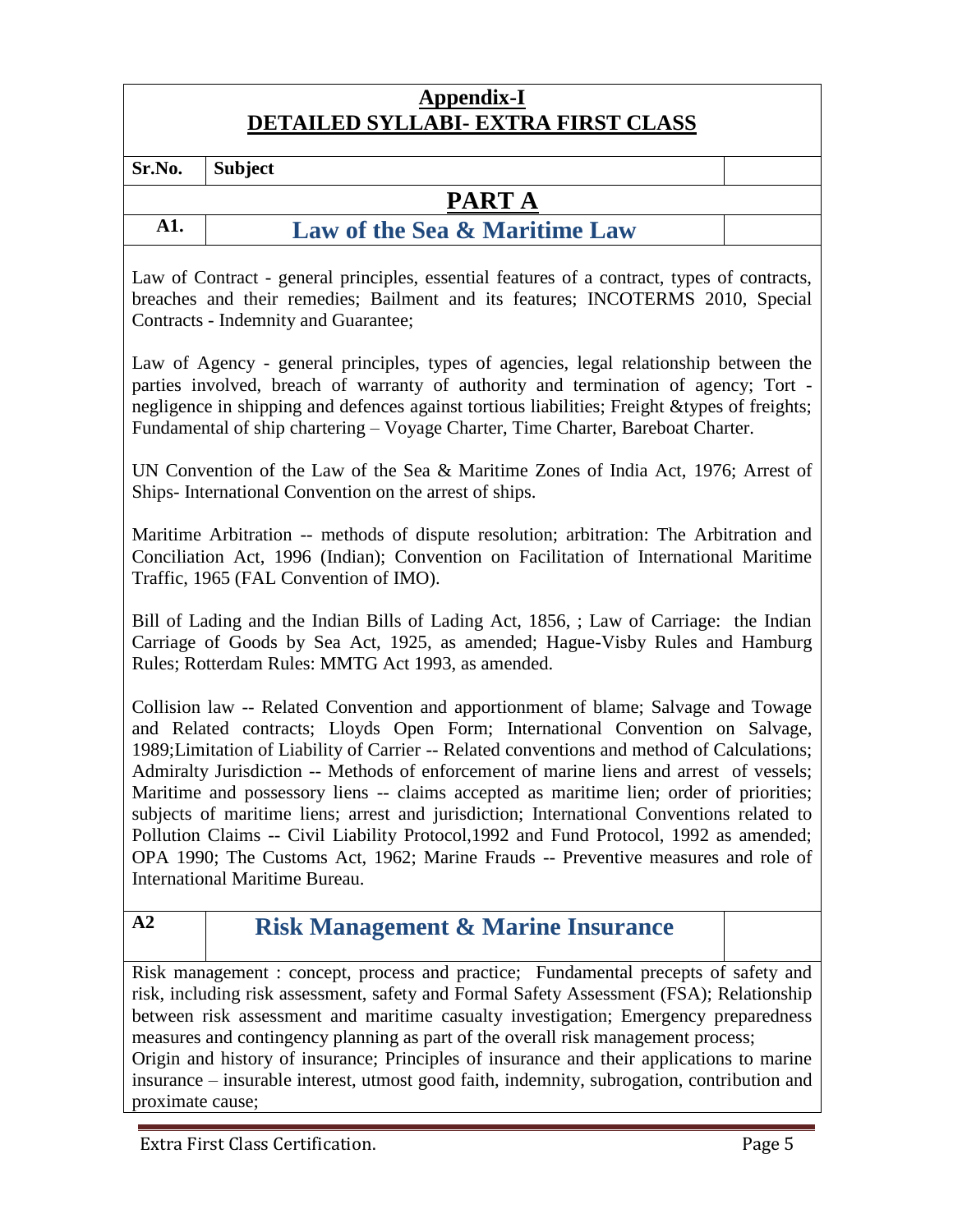## **Appendix-I DETAILED SYLLABI- EXTRA FIRST CLASS**

<span id="page-4-0"></span>**Sr.No. Subject**

## **PART A**

**A1. Law of the Sea & Maritime Law**

Law of Contract - general principles, essential features of a contract, types of contracts, breaches and their remedies; Bailment and its features; INCOTERMS 2010, Special Contracts - Indemnity and Guarantee;

Law of Agency - general principles, types of agencies, legal relationship between the parties involved, breach of warranty of authority and termination of agency; Tort negligence in shipping and defences against tortious liabilities; Freight &types of freights; Fundamental of ship chartering – Voyage Charter, Time Charter, Bareboat Charter.

UN Convention of the Law of the Sea & Maritime Zones of India Act, 1976; Arrest of Ships- International Convention on the arrest of ships.

Maritime Arbitration -- methods of dispute resolution; arbitration: The Arbitration and Conciliation Act, 1996 (Indian); Convention on Facilitation of International Maritime Traffic, 1965 (FAL Convention of IMO).

Bill of Lading and the Indian Bills of Lading Act, 1856, ; Law of Carriage: the Indian Carriage of Goods by Sea Act, 1925, as amended; Hague-Visby Rules and Hamburg Rules; Rotterdam Rules: MMTG Act 1993, as amended.

Collision law -- Related Convention and apportionment of blame; Salvage and Towage and Related contracts; Lloyds Open Form; International Convention on Salvage, 1989;Limitation of Liability of Carrier -- Related conventions and method of Calculations; Admiralty Jurisdiction -- Methods of enforcement of marine liens and arrest of vessels; Maritime and possessory liens -- claims accepted as maritime lien; order of priorities; subjects of maritime liens; arrest and jurisdiction; International Conventions related to Pollution Claims -- Civil Liability Protocol,1992 and Fund Protocol, 1992 as amended; OPA 1990; The Customs Act, 1962; Marine Frauds -- Preventive measures and role of International Maritime Bureau.

## **A2 Risk Management & Marine Insurance**

Risk management : concept, process and practice; Fundamental precepts of safety and risk, including risk assessment, safety and Formal Safety Assessment (FSA); Relationship between risk assessment and maritime casualty investigation; Emergency preparedness measures and contingency planning as part of the overall risk management process;

Origin and history of insurance; Principles of insurance and their applications to marine insurance – insurable interest, utmost good faith, indemnity, subrogation, contribution and proximate cause;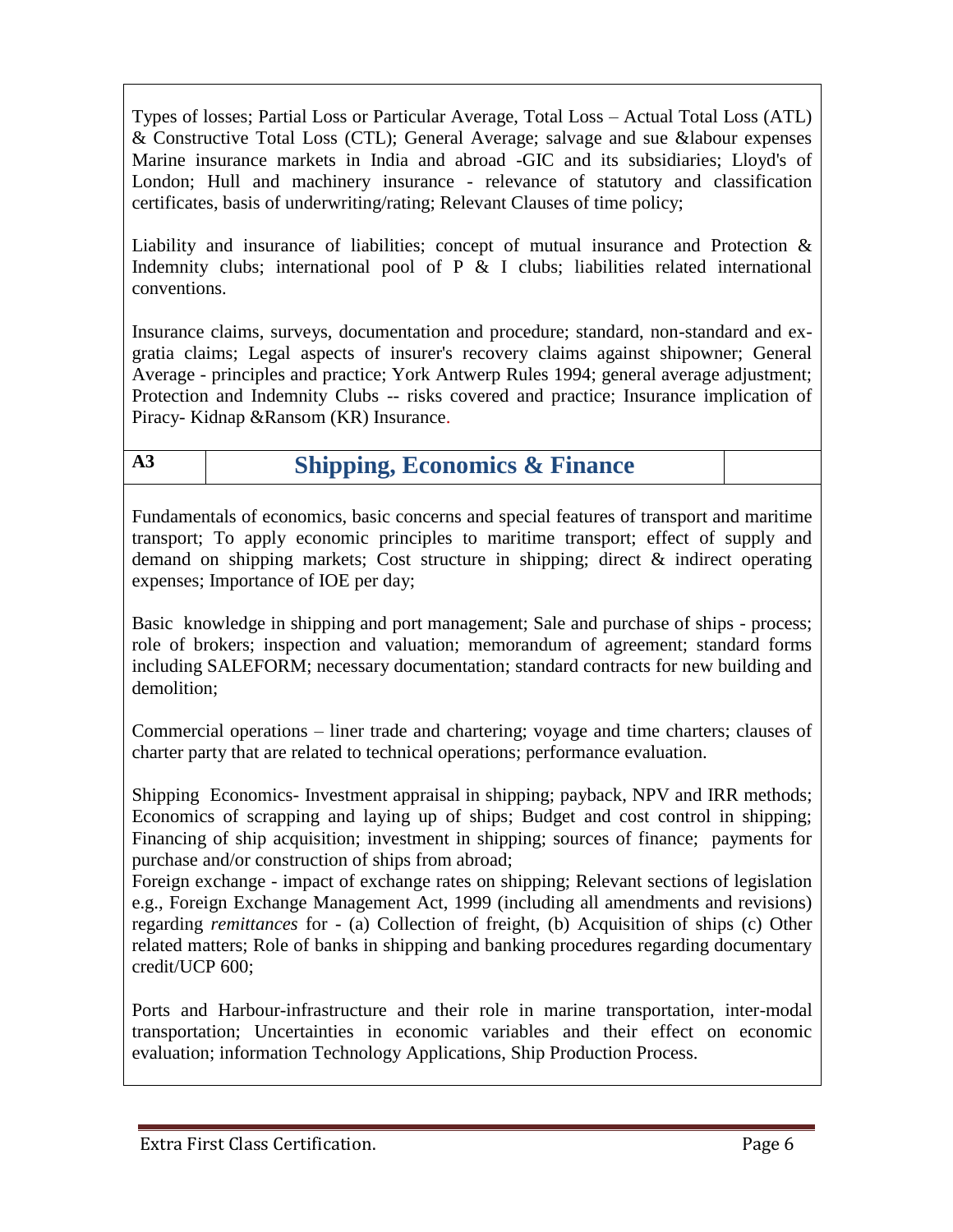Types of losses; Partial Loss or Particular Average, Total Loss – Actual Total Loss (ATL) & Constructive Total Loss (CTL); General Average; salvage and sue &labour expenses Marine insurance markets in India and abroad -GIC and its subsidiaries; Lloyd's of London; Hull and machinery insurance - relevance of statutory and classification certificates, basis of underwriting/rating; Relevant Clauses of time policy;

Liability and insurance of liabilities; concept of mutual insurance and Protection & Indemnity clubs; international pool of P & I clubs; liabilities related international conventions.

Insurance claims, surveys, documentation and procedure; standard, non-standard and exgratia claims; Legal aspects of insurer's recovery claims against shipowner; General Average - principles and practice; York Antwerp Rules 1994; general average adjustment; Protection and Indemnity Clubs -- risks covered and practice; Insurance implication of Piracy- Kidnap &Ransom (KR) Insurance.

# **A3 Shipping, Economics & Finance**

Fundamentals of economics, basic concerns and special features of transport and maritime transport; To apply economic principles to maritime transport; effect of supply and demand on shipping markets; Cost structure in shipping; direct & indirect operating expenses; Importance of IOE per day;

Basic knowledge in shipping and port management; Sale and purchase of ships - process; role of brokers; inspection and valuation; memorandum of agreement; standard forms including SALEFORM; necessary documentation; standard contracts for new building and demolition;

Commercial operations – liner trade and chartering; voyage and time charters; clauses of charter party that are related to technical operations; performance evaluation.

Shipping Economics- Investment appraisal in shipping; payback, NPV and IRR methods; Economics of scrapping and laying up of ships; Budget and cost control in shipping; Financing of ship acquisition; investment in shipping; sources of finance; payments for purchase and/or construction of ships from abroad;

Foreign exchange - impact of exchange rates on shipping; Relevant sections of legislation e.g., Foreign Exchange Management Act, 1999 (including all amendments and revisions) regarding *remittances* for - (a) Collection of freight, (b) Acquisition of ships (c) Other related matters; Role of banks in shipping and banking procedures regarding documentary credit/UCP 600;

Ports and Harbour-infrastructure and their role in marine transportation, inter-modal transportation; Uncertainties in economic variables and their effect on economic evaluation; information Technology Applications, Ship Production Process.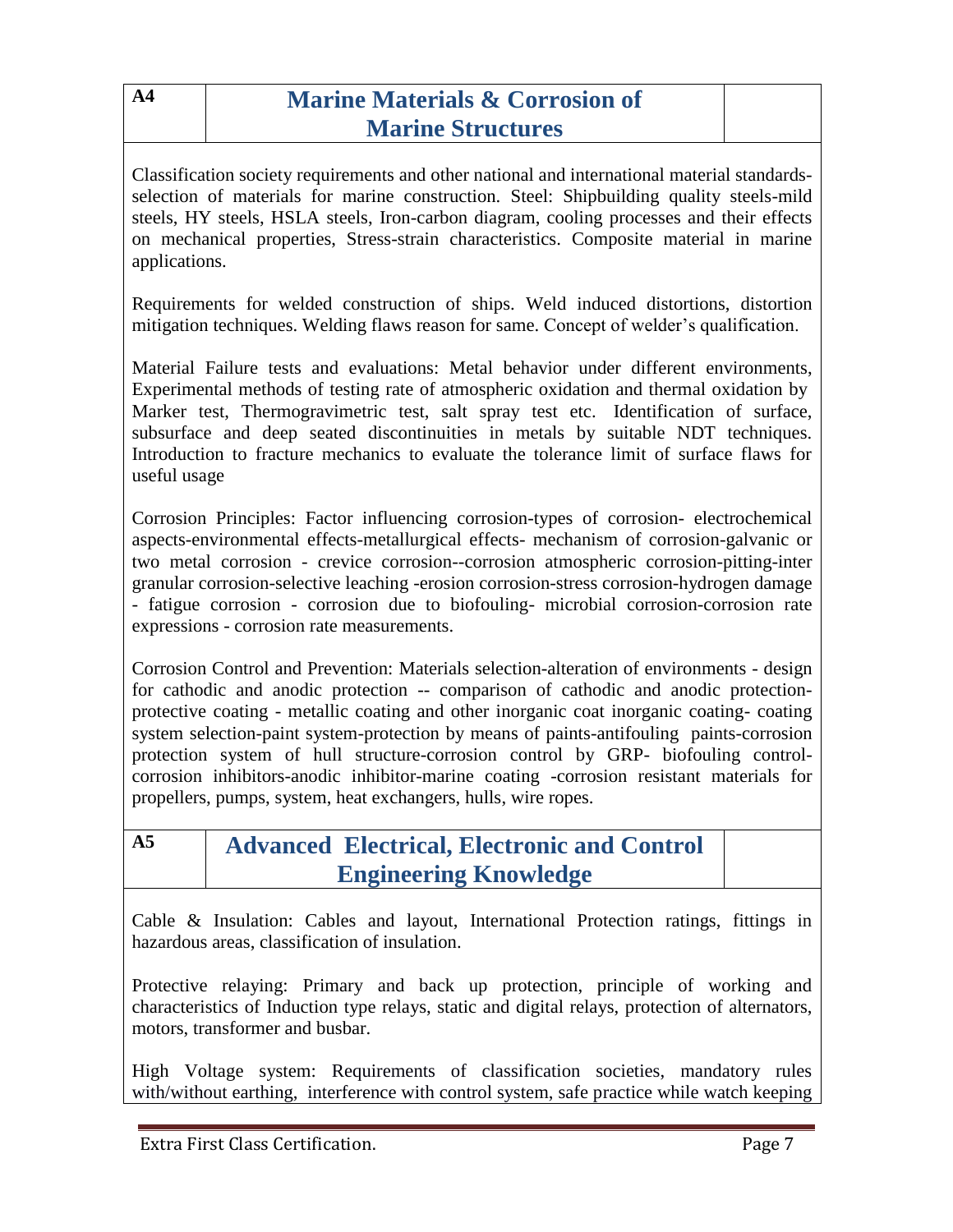| A <sub>4</sub> | <b>Marine Materials &amp; Corrosion of</b>                                                                                                                                                                                                                                                                                                                                                                                                                                                                                                                                                                                 |  |
|----------------|----------------------------------------------------------------------------------------------------------------------------------------------------------------------------------------------------------------------------------------------------------------------------------------------------------------------------------------------------------------------------------------------------------------------------------------------------------------------------------------------------------------------------------------------------------------------------------------------------------------------------|--|
|                | <b>Marine Structures</b>                                                                                                                                                                                                                                                                                                                                                                                                                                                                                                                                                                                                   |  |
| applications.  | Classification society requirements and other national and international material standards-<br>selection of materials for marine construction. Steel: Shipbuilding quality steels-mild<br>steels, HY steels, HSLA steels, Iron-carbon diagram, cooling processes and their effects<br>on mechanical properties, Stress-strain characteristics. Composite material in marine                                                                                                                                                                                                                                               |  |
|                | Requirements for welded construction of ships. Weld induced distortions, distortion<br>mitigation techniques. Welding flaws reason for same. Concept of welder's qualification.                                                                                                                                                                                                                                                                                                                                                                                                                                            |  |
| useful usage   | Material Failure tests and evaluations: Metal behavior under different environments,<br>Experimental methods of testing rate of atmospheric oxidation and thermal oxidation by<br>Marker test, Thermogravimetric test, salt spray test etc. Identification of surface,<br>subsurface and deep seated discontinuities in metals by suitable NDT techniques.<br>Introduction to fracture mechanics to evaluate the tolerance limit of surface flaws for                                                                                                                                                                      |  |
|                | Corrosion Principles: Factor influencing corrosion-types of corrosion- electrochemical<br>aspects-environmental effects-metallurgical effects- mechanism of corrosion-galvanic or<br>two metal corrosion - crevice corrosion--corrosion atmospheric corrosion-pitting-inter<br>granular corrosion-selective leaching -erosion corrosion-stress corrosion-hydrogen damage<br>- fatigue corrosion - corrosion due to biofouling- microbial corrosion-corrosion rate<br>expressions - corrosion rate measurements.                                                                                                            |  |
|                | Corrosion Control and Prevention: Materials selection-alteration of environments - design<br>for cathodic and anodic protection -- comparison of cathodic and anodic protection-<br>protective coating - metallic coating and other inorganic coat inorganic coating-coating<br>system selection-paint system-protection by means of paints-antifouling paints-corrosion<br>protection system of hull structure-corrosion control by GRP- biofouling control-<br>corrosion inhibitors-anodic inhibitor-marine coating -corrosion resistant materials for<br>propellers, pumps, system, heat exchangers, hulls, wire ropes. |  |
| A <sub>5</sub> | <b>Advanced Electrical, Electronic and Control</b>                                                                                                                                                                                                                                                                                                                                                                                                                                                                                                                                                                         |  |
|                | <b>Engineering Knowledge</b>                                                                                                                                                                                                                                                                                                                                                                                                                                                                                                                                                                                               |  |
|                | Cable & Insulation: Cables and layout, International Protection ratings, fittings in<br>hazardous areas, classification of insulation.                                                                                                                                                                                                                                                                                                                                                                                                                                                                                     |  |
|                | Protective relaying: Primary and back up protection, principle of working and<br>characteristics of Induction type relays, static and digital relays, protection of alternators,<br>motors, transformer and busbar.                                                                                                                                                                                                                                                                                                                                                                                                        |  |

High Voltage system: Requirements of classification societies, mandatory rules with/without earthing, interference with control system, safe practice while watch keeping

T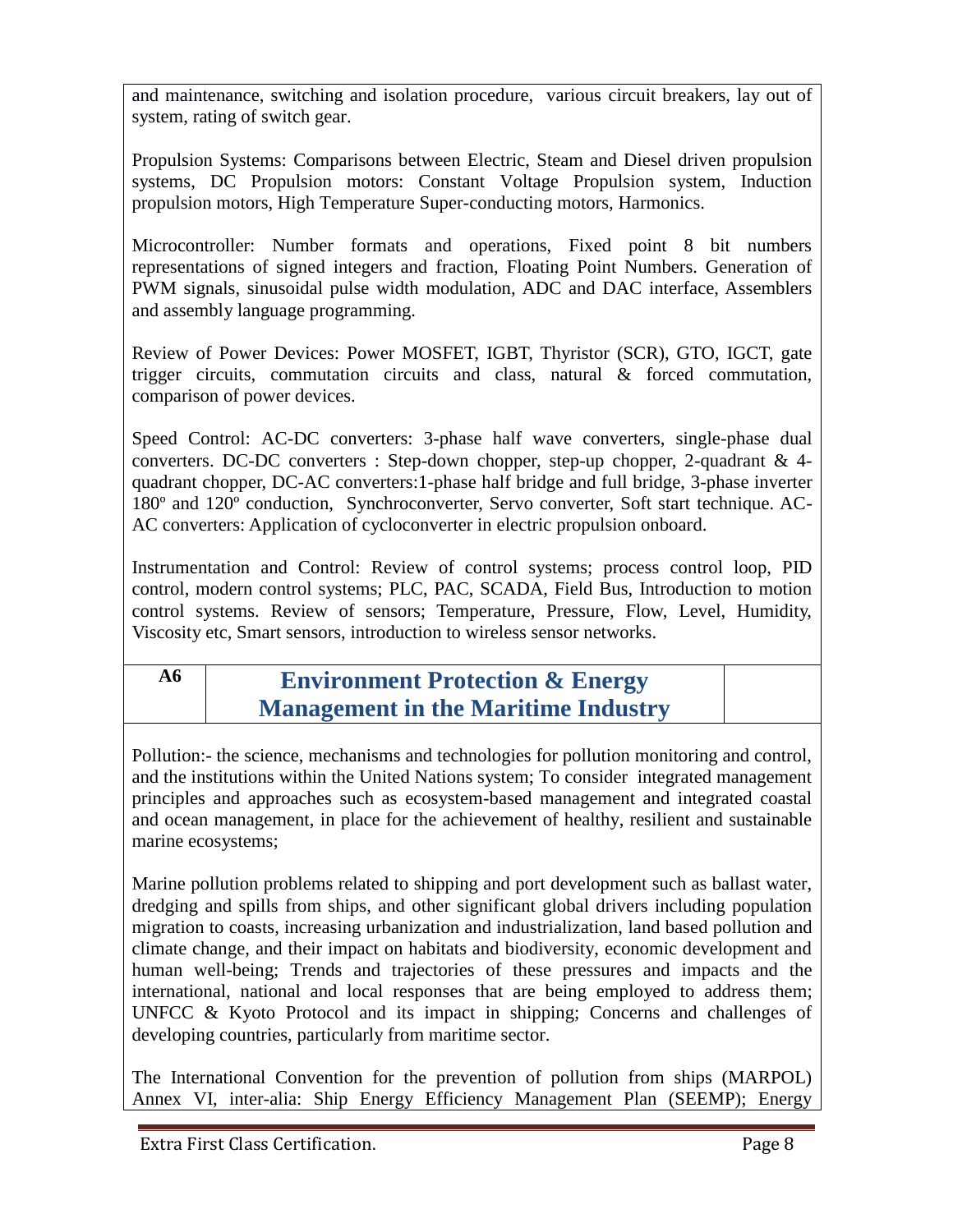and maintenance, switching and isolation procedure, various circuit breakers, lay out of system, rating of switch gear.

Propulsion Systems: Comparisons between Electric, Steam and Diesel driven propulsion systems, DC Propulsion motors: Constant Voltage Propulsion system, Induction propulsion motors, High Temperature Super-conducting motors, Harmonics.

Microcontroller: Number formats and operations, Fixed point 8 bit numbers representations of signed integers and fraction, Floating Point Numbers. Generation of PWM signals, sinusoidal pulse width modulation, ADC and DAC interface, Assemblers and assembly language programming.

Review of Power Devices: Power MOSFET, IGBT, Thyristor (SCR), GTO, IGCT, gate trigger circuits, commutation circuits and class, natural & forced commutation, comparison of power devices.

Speed Control: AC-DC converters: 3-phase half wave converters, single-phase dual converters. DC-DC converters : Step-down chopper, step-up chopper, 2-quadrant & 4 quadrant chopper, DC-AC converters:1-phase half bridge and full bridge, 3-phase inverter 180º and 120º conduction, Synchroconverter, Servo converter, Soft start technique. AC-AC converters: Application of cycloconverter in electric propulsion onboard.

Instrumentation and Control: Review of control systems; process control loop, PID control, modern control systems; PLC, PAC, SCADA, Field Bus, Introduction to motion control systems. Review of sensors; Temperature, Pressure, Flow, Level, Humidity, Viscosity etc, Smart sensors, introduction to wireless sensor networks.

# **A6 Environment Protection & Energy Management in the Maritime Industry**

Pollution:- the science, mechanisms and technologies for pollution monitoring and control, and the institutions within the United Nations system; To consider integrated management principles and approaches such as ecosystem-based management and integrated coastal and ocean management, in place for the achievement of healthy, resilient and sustainable marine ecosystems;

Marine pollution problems related to shipping and port development such as ballast water, dredging and spills from ships, and other significant global drivers including population migration to coasts, increasing urbanization and industrialization, land based pollution and climate change, and their impact on habitats and biodiversity, economic development and human well-being; Trends and trajectories of these pressures and impacts and the international, national and local responses that are being employed to address them; UNFCC & Kyoto Protocol and its impact in shipping; Concerns and challenges of developing countries, particularly from maritime sector.

The International Convention for the prevention of pollution from ships (MARPOL) Annex VI, inter-alia: Ship Energy Efficiency Management Plan (SEEMP); Energy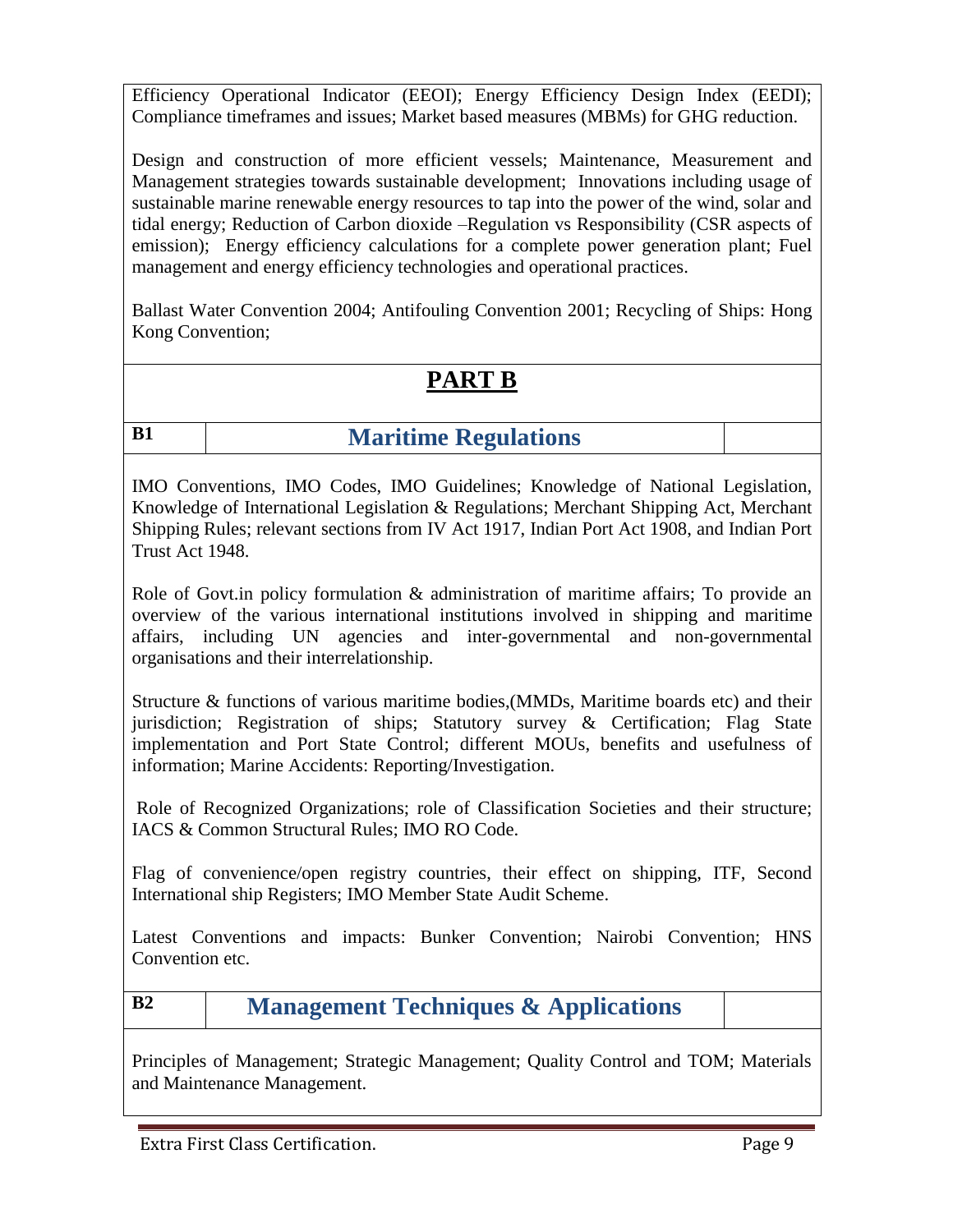Efficiency Operational Indicator (EEOI); Energy Efficiency Design Index (EEDI); Compliance timeframes and issues; Market based measures (MBMs) for GHG reduction.

Design and construction of more efficient vessels; Maintenance, Measurement and Management strategies towards sustainable development; Innovations including usage of sustainable marine renewable energy resources to tap into the power of the wind, solar and tidal energy; Reduction of Carbon dioxide –Regulation vs Responsibility (CSR aspects of emission); Energy efficiency calculations for a complete power generation plant; Fuel management and energy efficiency technologies and operational practices.

Ballast Water Convention 2004; Antifouling Convention 2001; Recycling of Ships: Hong Kong Convention;

# **PART B**

# **B1 Maritime Regulations**

IMO Conventions, IMO Codes, IMO Guidelines; Knowledge of National Legislation, Knowledge of International Legislation & Regulations; Merchant Shipping Act, Merchant Shipping Rules; relevant sections from IV Act 1917, Indian Port Act 1908, and Indian Port Trust Act 1948.

Role of Govt.in policy formulation & administration of maritime affairs; To provide an overview of the various international institutions involved in shipping and maritime affairs, including UN agencies and inter-governmental and non-governmental organisations and their interrelationship.

Structure & functions of various maritime bodies,(MMDs, Maritime boards etc) and their jurisdiction; Registration of ships; Statutory survey & Certification; Flag State implementation and Port State Control; different MOUs, benefits and usefulness of information; Marine Accidents: Reporting/Investigation.

Role of Recognized Organizations; role of Classification Societies and their structure; IACS & Common Structural Rules; IMO RO Code.

Flag of convenience/open registry countries, their effect on shipping, ITF, Second International ship Registers; IMO Member State Audit Scheme.

Latest Conventions and impacts: Bunker Convention; Nairobi Convention; HNS Convention etc.

**B2 Management Techniques & Applications**

Principles of Management; Strategic Management; Quality Control and TOM; Materials and Maintenance Management.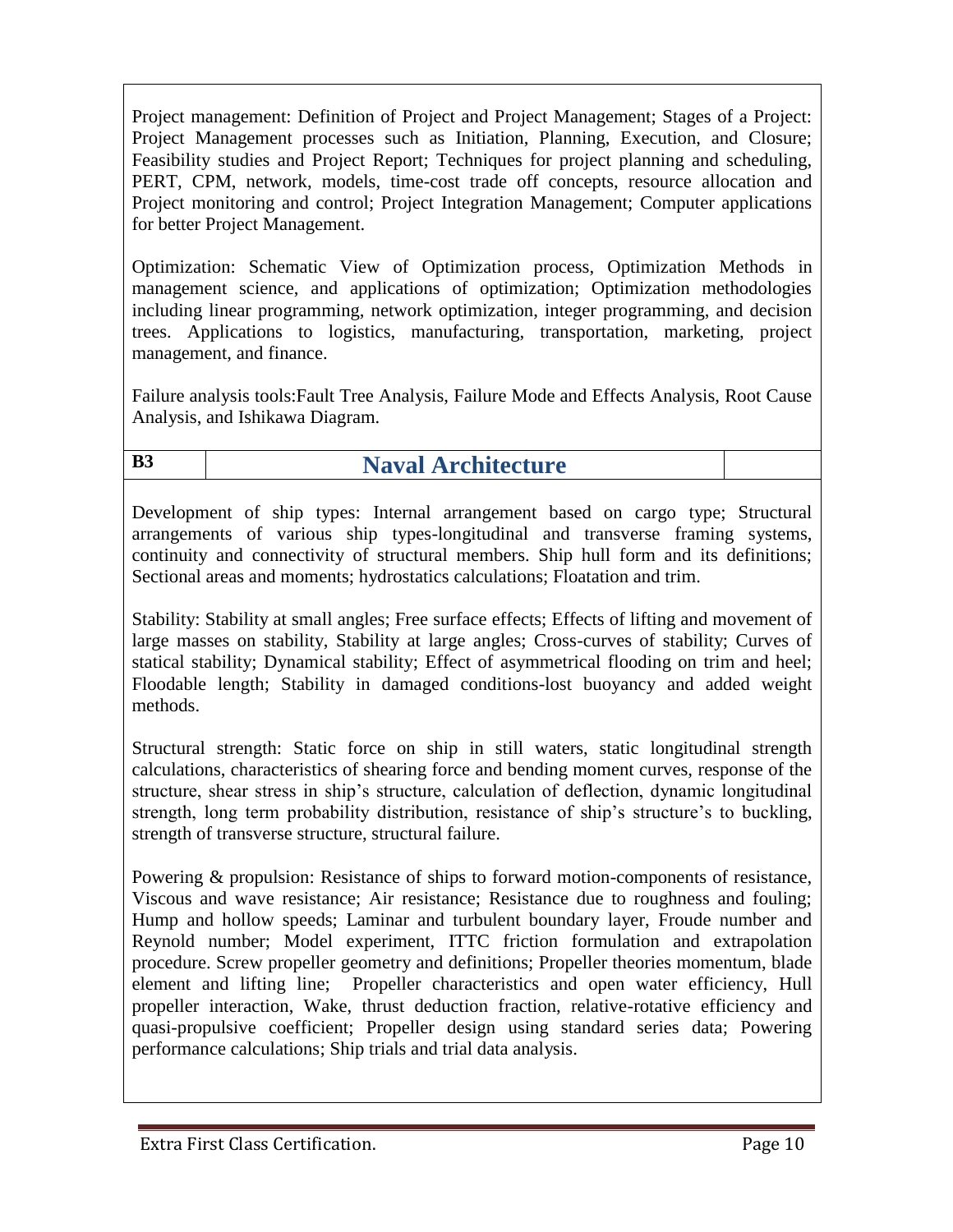Project management: Definition of Project and Project Management; Stages of a Project: Project Management processes such as Initiation, Planning, Execution, and Closure; Feasibility studies and Project Report; Techniques for project planning and scheduling, PERT, CPM, network, models, time-cost trade off concepts, resource allocation and Project monitoring and control; Project Integration Management; Computer applications for better Project Management.

Optimization: Schematic View of Optimization process, Optimization Methods in management science, and applications of optimization; Optimization methodologies including linear programming, network optimization, integer programming, and decision trees. Applications to logistics, manufacturing, transportation, marketing, project management, and finance.

Failure analysis tools:Fault Tree Analysis, Failure Mode and Effects Analysis, Root Cause Analysis, and Ishikawa Diagram.

# **B3 Naval Architecture**

Development of ship types: Internal arrangement based on cargo type; Structural arrangements of various ship types-longitudinal and transverse framing systems, continuity and connectivity of structural members. Ship hull form and its definitions; Sectional areas and moments; hydrostatics calculations; Floatation and trim.

Stability: Stability at small angles; Free surface effects; Effects of lifting and movement of large masses on stability, Stability at large angles; Cross-curves of stability; Curves of statical stability; Dynamical stability; Effect of asymmetrical flooding on trim and heel; Floodable length; Stability in damaged conditions-lost buoyancy and added weight methods.

Structural strength: Static force on ship in still waters, static longitudinal strength calculations, characteristics of shearing force and bending moment curves, response of the structure, shear stress in ship's structure, calculation of deflection, dynamic longitudinal strength, long term probability distribution, resistance of ship's structure's to buckling, strength of transverse structure, structural failure.

Powering & propulsion: Resistance of ships to forward motion-components of resistance, Viscous and wave resistance; Air resistance; Resistance due to roughness and fouling; Hump and hollow speeds; Laminar and turbulent boundary layer, Froude number and Reynold number; Model experiment, ITTC friction formulation and extrapolation procedure. Screw propeller geometry and definitions; Propeller theories momentum, blade element and lifting line; Propeller characteristics and open water efficiency, Hull propeller interaction, Wake, thrust deduction fraction, relative-rotative efficiency and quasi-propulsive coefficient; Propeller design using standard series data; Powering performance calculations; Ship trials and trial data analysis.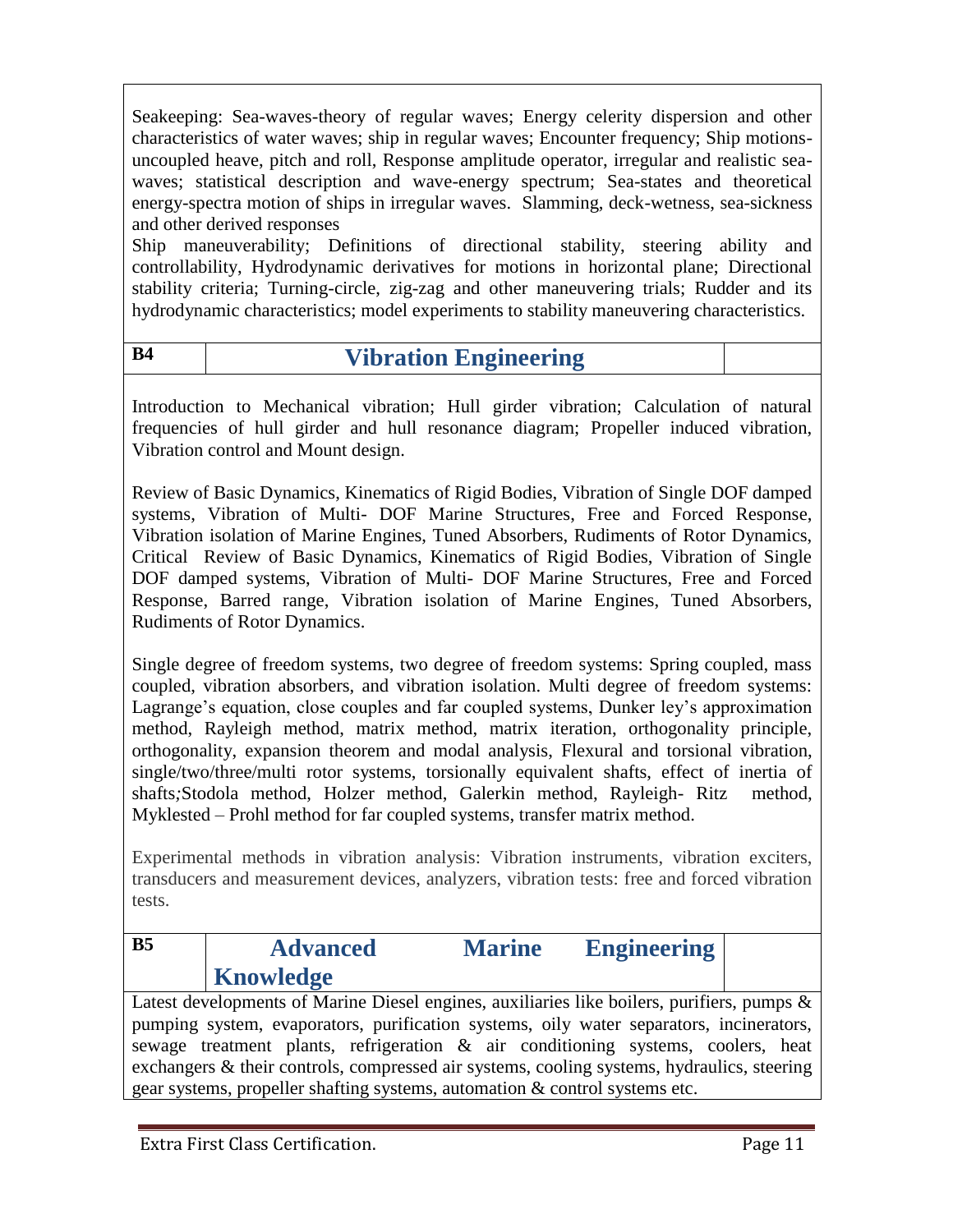Seakeeping: Sea-waves-theory of regular waves; Energy celerity dispersion and other characteristics of water waves; ship in regular waves; Encounter frequency; Ship motionsuncoupled heave, pitch and roll, Response amplitude operator, irregular and realistic seawaves; statistical description and wave-energy spectrum; Sea-states and theoretical energy-spectra motion of ships in irregular waves. Slamming, deck-wetness, sea-sickness and other derived responses

Ship maneuverability; Definitions of directional stability, steering ability and controllability, Hydrodynamic derivatives for motions in horizontal plane; Directional stability criteria; Turning-circle, zig-zag and other maneuvering trials; Rudder and its hydrodynamic characteristics; model experiments to stability maneuvering characteristics.

| B4 | <b>Vibration Engineering</b> |
|----|------------------------------|
|    |                              |

Introduction to Mechanical vibration; Hull girder vibration; Calculation of natural frequencies of hull girder and hull resonance diagram; Propeller induced vibration, Vibration control and Mount design.

Review of Basic Dynamics, Kinematics of Rigid Bodies, Vibration of Single DOF damped systems, Vibration of Multi- DOF Marine Structures, Free and Forced Response, Vibration isolation of Marine Engines, Tuned Absorbers, Rudiments of Rotor Dynamics, Critical Review of Basic Dynamics, Kinematics of Rigid Bodies, Vibration of Single DOF damped systems, Vibration of Multi- DOF Marine Structures, Free and Forced Response, Barred range, Vibration isolation of Marine Engines, Tuned Absorbers, Rudiments of Rotor Dynamics.

Single degree of freedom systems, two degree of freedom systems: Spring coupled, mass coupled, vibration absorbers, and vibration isolation. Multi degree of freedom systems: Lagrange's equation, close couples and far coupled systems, Dunker ley's approximation method, Rayleigh method, matrix method, matrix iteration, orthogonality principle, orthogonality, expansion theorem and modal analysis, Flexural and torsional vibration, single/two/three/multi rotor systems, torsionally equivalent shafts, effect of inertia of shafts*;*Stodola method, Holzer method, Galerkin method, Rayleigh- Ritz method, Myklested – Prohl method for far coupled systems, transfer matrix method.

Experimental methods in vibration analysis: Vibration instruments, vibration exciters, transducers and measurement devices, analyzers, vibration tests: free and forced vibration tests.

| B <sub>5</sub> | <b>Advanced</b> | <b>Marine</b> | <b>Engineering</b> |  |
|----------------|-----------------|---------------|--------------------|--|
|                | Knowledge       |               |                    |  |

Latest developments of Marine Diesel engines, auxiliaries like boilers, purifiers, pumps & pumping system, evaporators, purification systems, oily water separators, incinerators, sewage treatment plants, refrigeration & air conditioning systems, coolers, heat exchangers & their controls, compressed air systems, cooling systems, hydraulics, steering gear systems, propeller shafting systems, automation & control systems etc.